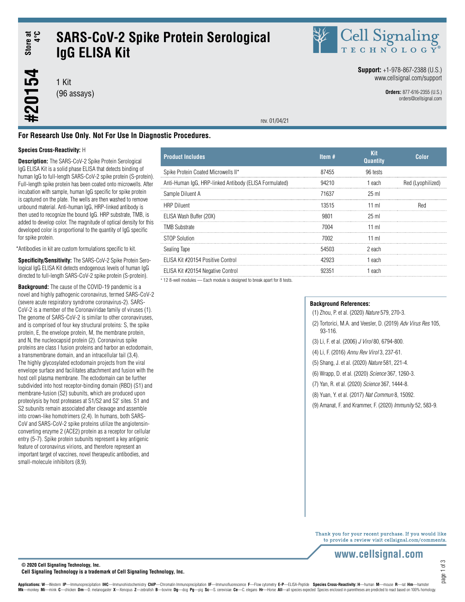## Store at<br>4°C **#20154 Store at 4°C SARS-CoV-2 Spike Protein Serological IgG ELISA Kit**

1 Kit (96 assays) Cell Signaling

**Support:** +1-978-867-2388 (U.S.) www.cellsignal.com/support

> **Orders:** 877-616-2355 (U.S.) orders@cellsignal.com

rev. 01/04/21

## **For Research Use Only. Not For Use In Diagnostic Procedures.**

## **Species Cross-Reactivity:** H

#20154

**Description:** The SARS-CoV-2 Spike Protein Serological IgG ELISA Kit is a solid phase ELISA that detects binding of human IgG to full-length SARS-CoV-2 spike protein (S-protein). Full-length spike protein has been coated onto microwells. After incubation with sample, human IgG specific for spike protein is captured on the plate. The wells are then washed to remove unbound material. Anti-human IgG, HRP-linked antibody is then used to recognize the bound IgG. HRP substrate, TMB, is added to develop color. The magnitude of optical density for this developed color is proportional to the quantity of IgG specific for spike protein.

\*Antibodies in kit are custom formulations specific to kit.

**Specificity/Sensitivity:** The SARS-CoV-2 Spike Protein Serological IgG ELISA Kit detects endogenous levels of human IgG directed to full-length SARS-CoV-2 spike protein (S-protein).

**Background:** The cause of the COVID-19 pandemic is a novel and highly pathogenic coronavirus, termed SARS-CoV-2 (severe acute respiratory syndrome coronavirus-2). SARS-CoV-2 is a member of the Coronaviridae family of viruses (1). The genome of SARS-CoV-2 is similar to other coronaviruses, and is comprised of four key structural proteins: S, the spike protein, E, the envelope protein, M, the membrane protein, and N, the nucleocapsid protein (2). Coronavirus spike proteins are class I fusion proteins and harbor an ectodomain, a transmembrane domain, and an intracellular tail (3,4). The highly glycosylated ectodomain projects from the viral envelope surface and facilitates attachment and fusion with the host cell plasma membrane. The ectodomain can be further subdivided into host receptor-binding domain (RBD) (S1) and membrane-fusion (S2) subunits, which are produced upon proteolysis by host proteases at S1/S2 and S2' sites. S1 and S2 subunits remain associated after cleavage and assemble into crown-like homotrimers (2,4). In humans, both SARS-CoV and SARS-CoV-2 spike proteins utilize the angiotensinconverting enzyme 2 (ACE2) protein as a receptor for cellular entry (5-7). Spike protein subunits represent a key antigenic feature of coronavirus virions, and therefore represent an important target of vaccines, novel therapeutic antibodies, and small-molecule inhibitors (8,9).

| <b>Product Includes</b>                                | Item $#$ | Kit<br><b>Quantity</b> | <b>Color</b>      |
|--------------------------------------------------------|----------|------------------------|-------------------|
| Spike Protein Coated Microwells II*                    | 87455    | 96 tests               |                   |
| Anti-Human IgG, HRP-linked Antibody (ELISA Formulated) | 94210    | 1 each                 | Red (Lyophilized) |
| Sample Diluent A                                       | 71637    | $25$ ml                |                   |
| <b>HRP Diluent</b>                                     | 13515    | $11$ ml                | Red               |
| ELISA Wash Buffer (20X)                                | 9801     | 25 ml                  |                   |
| <b>TMB Substrate</b>                                   | 7004     | 11 ml                  |                   |
| <b>STOP Solution</b>                                   | 7002.    | $11$ ml                |                   |
| Sealing Tape                                           | 54503    | 2 each                 |                   |
| ELISA Kit #20154 Positive Control                      | 42923    | 1 each                 |                   |
| ELISA Kit #20154 Negative Control                      | 92351    | 1 each                 |                   |

\* 12 8-well modules — Each module is designed to break apart for 8 tests.

### **Background References:**

(1) Zhou, P. et al. (2020) *Nature* 579, 270-3.

(2) Tortorici, M.A. and Veesler, D. (2019) *Adv Virus Res* 105, 93-116.

- (3) Li, F. et al. (2006) *J Virol* 80, 6794-800.
- (4) Li, F. (2016) *Annu Rev Virol* 3, 237-61.
- (5) Shang, J. et al. (2020) *Nature* 581, 221-4.
- (6) Wrapp, D. et al. (2020) *Science* 367, 1260-3.
- (7) Yan, R. et al. (2020) *Science* 367, 1444-8.
- (8) Yuan, Y. et al. (2017) *Nat Commun* 8, 15092.
- (9) Amanat, F. and Krammer, F. (2020) *Immunity* 52, 583-9.

Thank you for your recent purchase. If you would like to provide a review visit cellsignal.com/comments.

page 1 of 3

## www.cellsignal.com

**© 2020 Cell Signaling Technology, Inc. Cell Signaling Technology is a trademark of Cell Signaling Technology, Inc.**

Applications: W-Western IP-Immunoprecipitation IHC-Immunohistochemistry ChIP-Chromatin Immunoprecipitation IF-Immunofluorescence F-Flow cytometry E-P-ELISA-Peptide Species Cross-Reactivity: H-human M-mouse R-rat Hm-hamster Mk-monkey Mi-mink C-chicken Dm-D. melanogaster X-Xenopus Z-zebrafish B-bovine Dg-dog Pg-pig Sc-S. cerevisiae Ce-C. elegans Hr-Horse All-all species expected Species enclosed in parentheses are predicted to react based on 1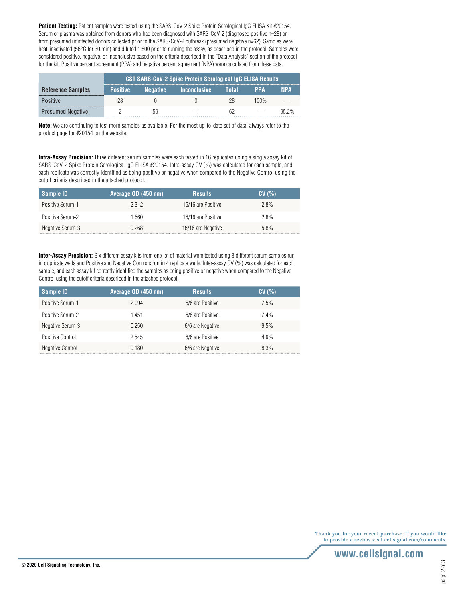**Patient Testing:** Patient samples were tested using the SARS-CoV-2 Spike Protein Serological IgG ELISA Kit #20154. Serum or plasma was obtained from donors who had been diagnosed with SARS-CoV-2 (diagnosed positive n=28) or from presumed uninfected donors collected prior to the SARS-CoV-2 outbreak (presumed negative n=62). Samples were heat-inactivated (56°C for 30 min) and diluted 1:800 prior to running the assay, as described in the protocol. Samples were considered positive, negative, or inconclusive based on the criteria described in the "Data Analysis" section of the protocol for the kit. Positive percent agreement (PPA) and negative percent agreement (NPA) were calculated from these data.

|                          | <b>CST SARS-CoV-2 Spike Protein Serological IgG ELISA Results</b> |                 |               |       |         |       |
|--------------------------|-------------------------------------------------------------------|-----------------|---------------|-------|---------|-------|
| <b>Reference Samples</b> | <b>Positive</b>                                                   | <b>Negative</b> | lnconclusive' | Total | PPA     | NPA   |
| <b>Positive</b>          |                                                                   |                 |               |       | $100\%$ |       |
| <b>Presumed Negative</b> |                                                                   | 59              |               |       |         | Q5 2% |

**Note:** We are continuing to test more samples as available. For the most up-to-date set of data, always refer to the product page for #20154 on the website.

**Intra-Assay Precision:** Three different serum samples were each tested in 16 replicates using a single assay kit of SARS-CoV-2 Spike Protein Serological IgG ELISA #20154. Intra-assay CV (%) was calculated for each sample, and each replicate was correctly identified as being positive or negative when compared to the Negative Control using the cutoff criteria described in the attached protocol.

| Sample ID        | 'Average OD (450 nm), | <b>Results</b>     | CV(% ) |
|------------------|-----------------------|--------------------|--------|
| Positive Serum-1 | 2.312                 | 16/16 are Positive | 2.8%   |
| Positive Serum-2 | .660                  | 16/16 are Positive | 2.8%   |
| Negative Serum-3 | 0.268                 | 16/16 are Negative | 5.8%   |

**Inter-Assay Precision:** Six different assay kits from one lot of material were tested using 3 different serum samples run in duplicate wells and Positive and Negative Controls run in 4 replicate wells. Inter-assay CV (%) was calculated for each sample, and each assay kit correctly identified the samples as being positive or negative when compared to the Negative Control using the cutoff criteria described in the attached protocol.

| Sample ID        | Average OD (450 nm) | <b>Results</b>   | CV(%)   |
|------------------|---------------------|------------------|---------|
| Positive Serum-1 | 2.094               | 6/6 are Positive | $7.5\%$ |
| Positive Serum-2 | 1.451               | 6/6 are Positive | $7.4\%$ |
| Negative Serum-3 | 0.250               | 6/6 are Negative | 9.5%    |
| Positive Control | 2.545               | 6/6 are Positive | 4.9%    |
| Negative Control | 0.180               | 6/6 are Negative | 8.3%    |

Thank you for your recent purchase. If you would like to provide a review visit cellsignal.com/comments.